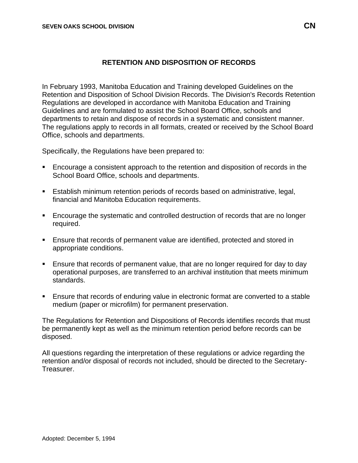## **RETENTION AND DISPOSITION OF RECORDS**

In February 1993, Manitoba Education and Training developed Guidelines on the Retention and Disposition of School Division Records. The Division's Records Retention Regulations are developed in accordance with Manitoba Education and Training Guidelines and are formulated to assist the School Board Office, schools and departments to retain and dispose of records in a systematic and consistent manner. The regulations apply to records in all formats, created or received by the School Board Office, schools and departments.

Specifically, the Regulations have been prepared to:

- Encourage a consistent approach to the retention and disposition of records in the School Board Office, schools and departments.
- **E** Establish minimum retention periods of records based on administrative, legal, financial and Manitoba Education requirements.
- Encourage the systematic and controlled destruction of records that are no longer required.
- Ensure that records of permanent value are identified, protected and stored in appropriate conditions.
- **E** Ensure that records of permanent value, that are no longer required for day to day operational purposes, are transferred to an archival institution that meets minimum standards.
- **E** Ensure that records of enduring value in electronic format are converted to a stable medium (paper or microfilm) for permanent preservation.

The Regulations for Retention and Dispositions of Records identifies records that must be permanently kept as well as the minimum retention period before records can be disposed.

All questions regarding the interpretation of these regulations or advice regarding the retention and/or disposal of records not included, should be directed to the Secretary-Treasurer.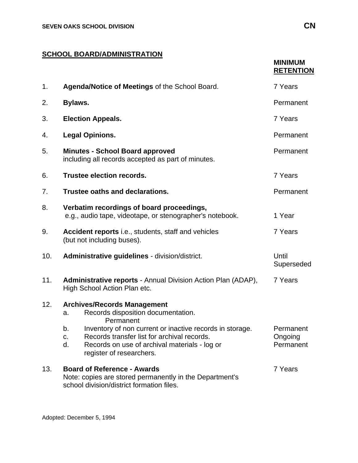## **SCHOOL BOARD/ADMINISTRATION**

|     |                                                                                                                                                                                                        | <b>MINIMUM</b><br><b>RETENTION</b> |
|-----|--------------------------------------------------------------------------------------------------------------------------------------------------------------------------------------------------------|------------------------------------|
| 1.  | Agenda/Notice of Meetings of the School Board.                                                                                                                                                         | 7 Years                            |
| 2.  | Bylaws.                                                                                                                                                                                                | Permanent                          |
| 3.  | <b>Election Appeals.</b>                                                                                                                                                                               | 7 Years                            |
| 4.  | <b>Legal Opinions.</b>                                                                                                                                                                                 | Permanent                          |
| 5.  | <b>Minutes - School Board approved</b><br>including all records accepted as part of minutes.                                                                                                           | Permanent                          |
| 6.  | <b>Trustee election records.</b>                                                                                                                                                                       | 7 Years                            |
| 7.  | Trustee oaths and declarations.                                                                                                                                                                        | Permanent                          |
| 8.  | Verbatim recordings of board proceedings,<br>e.g., audio tape, videotape, or stenographer's notebook.                                                                                                  | 1 Year                             |
| 9.  | Accident reports i.e., students, staff and vehicles<br>(but not including buses).                                                                                                                      | 7 Years                            |
| 10. | Administrative guidelines - division/district.                                                                                                                                                         | Until<br>Superseded                |
| 11. | <b>Administrative reports - Annual Division Action Plan (ADAP),</b><br>High School Action Plan etc.                                                                                                    | 7 Years                            |
| 12. | <b>Archives/Records Management</b><br>Records disposition documentation.<br>a.<br>Permanent                                                                                                            |                                    |
|     | b.<br>Inventory of non current or inactive records in storage.<br>Records transfer list for archival records.<br>c.<br>d.<br>Records on use of archival materials - log or<br>register of researchers. | Permanent<br>Ongoing<br>Permanent  |
| 13. | <b>Board of Reference - Awards</b><br>Note: copies are stored permanently in the Department's<br>school division/district formation files.                                                             | 7 Years                            |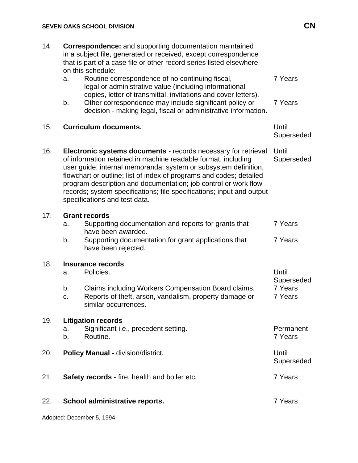| 14. | <b>Correspondence:</b> and supporting documentation maintained<br>in a subject file, generated or received, except correspondence<br>that is part of a case file or other record series listed elsewhere<br>on this schedule:                                                                                                                                                                                                                          |                                           |
|-----|--------------------------------------------------------------------------------------------------------------------------------------------------------------------------------------------------------------------------------------------------------------------------------------------------------------------------------------------------------------------------------------------------------------------------------------------------------|-------------------------------------------|
|     | Routine correspondence of no continuing fiscal,<br>a.<br>legal or administrative value (including informational                                                                                                                                                                                                                                                                                                                                        | 7 Years                                   |
|     | copies, letter of transmittal, invitations and cover letters).<br>Other correspondence may include significant policy or<br>b.<br>decision - making legal, fiscal or administrative information.                                                                                                                                                                                                                                                       | 7 Years                                   |
| 15. | <b>Curriculum documents.</b>                                                                                                                                                                                                                                                                                                                                                                                                                           | Until<br>Superseded                       |
| 16. | Electronic systems documents - records necessary for retrieval<br>of information retained in machine readable format, including<br>user guide; internal memoranda; system or subsystem definition,<br>flowchart or outline; list of index of programs and codes; detailed<br>program description and documentation; job control or work flow<br>records; system specifications; file specifications; input and output<br>specifications and test data. | Until<br>Superseded                       |
| 17. | <b>Grant records</b><br>Supporting documentation and reports for grants that<br>a.                                                                                                                                                                                                                                                                                                                                                                     | 7 Years                                   |
|     | have been awarded.<br>b.<br>Supporting documentation for grant applications that<br>have been rejected.                                                                                                                                                                                                                                                                                                                                                | 7 Years                                   |
| 18. | <b>Insurance records</b><br>Policies.<br>a.                                                                                                                                                                                                                                                                                                                                                                                                            | Until<br>Superseded<br>7 Years<br>7 Years |
|     | b.<br>Claims including Workers Compensation Board claims.<br>Reports of theft, arson, vandalism, property damage or<br>c.<br>similar occurrences.                                                                                                                                                                                                                                                                                                      |                                           |
| 19. | <b>Litigation records</b><br>Significant i.e., precedent setting.<br>a.<br>b.<br>Routine.                                                                                                                                                                                                                                                                                                                                                              | Permanent<br>7 Years                      |
| 20. | <b>Policy Manual - division/district.</b>                                                                                                                                                                                                                                                                                                                                                                                                              | Until<br>Superseded                       |
| 21. | <b>Safety records</b> - fire, health and boiler etc.                                                                                                                                                                                                                                                                                                                                                                                                   | 7 Years                                   |
| 22. | School administrative reports.                                                                                                                                                                                                                                                                                                                                                                                                                         | 7 Years                                   |

Adopted: December 5, 1994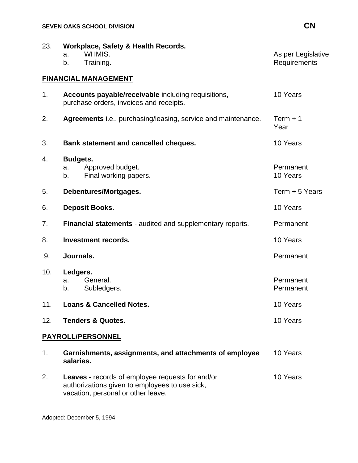| 23.               | Workplace, Safety & Health Records.<br>WHMIS.<br>a.<br>b.<br>Training.                                                                          | As per Legislative<br>Requirements |
|-------------------|-------------------------------------------------------------------------------------------------------------------------------------------------|------------------------------------|
|                   | <b>FINANCIAL MANAGEMENT</b>                                                                                                                     |                                    |
| 1.                | Accounts payable/receivable including requisitions,<br>purchase orders, invoices and receipts.                                                  | 10 Years                           |
| 2.                | Agreements i.e., purchasing/leasing, service and maintenance.                                                                                   | $Term + 1$<br>Year                 |
| 3.                | Bank statement and cancelled cheques.                                                                                                           | 10 Years                           |
| 4.                | <b>Budgets.</b><br>Approved budget.<br>a.<br>Final working papers.<br>b.                                                                        | Permanent<br>10 Years              |
| 5.                | Debentures/Mortgages.                                                                                                                           | Term + 5 Years                     |
| 6.                | <b>Deposit Books.</b>                                                                                                                           | 10 Years                           |
| 7.                | <b>Financial statements - audited and supplementary reports.</b>                                                                                | Permanent                          |
| 8.                | <b>Investment records.</b>                                                                                                                      | 10 Years                           |
| 9.                | Journals.                                                                                                                                       | Permanent                          |
| 10.               | Ledgers.<br>General.<br>a.<br>Subledgers.<br>b.                                                                                                 | Permanent<br>Permanent             |
| 11.               | <b>Loans &amp; Cancelled Notes.</b>                                                                                                             | 10 Years                           |
| 12.               | <b>Tenders &amp; Quotes.</b>                                                                                                                    | 10 Years                           |
| PAYROLL/PERSONNEL |                                                                                                                                                 |                                    |
| 1.                | Garnishments, assignments, and attachments of employee<br>salaries.                                                                             | 10 Years                           |
| 2.                | <b>Leaves</b> - records of employee requests for and/or<br>authorizations given to employees to use sick,<br>vacation, personal or other leave. | 10 Years                           |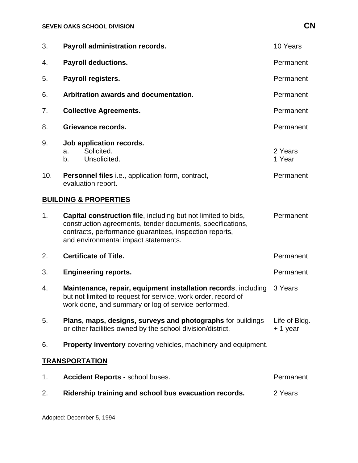| 3.                               | <b>Payroll administration records.</b>                                                                                                                                                                                        | 10 Years                  |
|----------------------------------|-------------------------------------------------------------------------------------------------------------------------------------------------------------------------------------------------------------------------------|---------------------------|
| 4.                               | <b>Payroll deductions.</b>                                                                                                                                                                                                    | Permanent                 |
| 5.                               | Payroll registers.                                                                                                                                                                                                            | Permanent                 |
| 6.                               | Arbitration awards and documentation.                                                                                                                                                                                         | Permanent                 |
| 7.                               | <b>Collective Agreements.</b>                                                                                                                                                                                                 | Permanent                 |
| 8.                               | Grievance records.                                                                                                                                                                                                            | Permanent                 |
| 9.                               | Job application records.<br>Solicited.<br>a.<br>Unsolicited.<br>b.                                                                                                                                                            | 2 Years<br>1 Year         |
| 10.                              | <b>Personnel files</b> i.e., application form, contract,<br>evaluation report.                                                                                                                                                | Permanent                 |
| <b>BUILDING &amp; PROPERTIES</b> |                                                                                                                                                                                                                               |                           |
| 1.                               | Capital construction file, including but not limited to bids,<br>construction agreements, tender documents, specifications,<br>contracts, performance guarantees, inspection reports,<br>and environmental impact statements. | Permanent                 |
| 2.                               | <b>Certificate of Title.</b>                                                                                                                                                                                                  | Permanent                 |
| 3.                               | <b>Engineering reports.</b>                                                                                                                                                                                                   | Permanent                 |
| 4.                               | Maintenance, repair, equipment installation records, including<br>but not limited to request for service, work order, record of<br>work done, and summary or log of service performed.                                        | 3 Years                   |
| 5.                               | Plans, maps, designs, surveys and photographs for buildings<br>or other facilities owned by the school division/district.                                                                                                     | Life of Bldg.<br>+ 1 year |
| 6.                               | <b>Property inventory</b> covering vehicles, machinery and equipment.                                                                                                                                                         |                           |
| <b>TRANSPORTATION</b>            |                                                                                                                                                                                                                               |                           |

## 1. **Accident Reports -** school buses. **Notify 1. Accident Reports -** school buses. 2. **Ridership training and school bus evacuation records.** 2 Years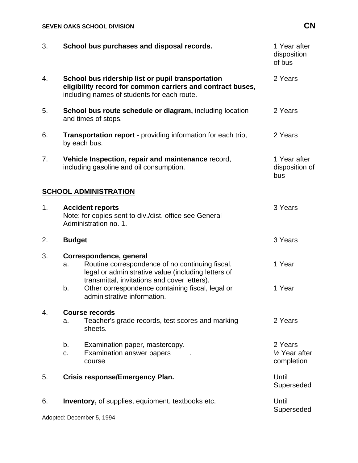## **SEVEN OAKS SCHOOL DIVISION CN**

| 3.                        | School bus purchases and disposal records.                                                                                                                                              | 1 Year after<br>disposition<br>of bus             |
|---------------------------|-----------------------------------------------------------------------------------------------------------------------------------------------------------------------------------------|---------------------------------------------------|
| 4.                        | School bus ridership list or pupil transportation<br>eligibility record for common carriers and contract buses,<br>including names of students for each route.                          | 2 Years                                           |
| 5.                        | School bus route schedule or diagram, including location<br>and times of stops.                                                                                                         | 2 Years                                           |
| 6.                        | <b>Transportation report</b> - providing information for each trip,<br>by each bus.                                                                                                     | 2 Years                                           |
| 7 <sub>1</sub>            | Vehicle Inspection, repair and maintenance record,<br>including gasoline and oil consumption.                                                                                           | 1 Year after<br>disposition of<br>bus             |
|                           | <b>SCHOOL ADMINISTRATION</b>                                                                                                                                                            |                                                   |
| 1.                        | <b>Accident reports</b><br>Note: for copies sent to div./dist. office see General<br>Administration no. 1.                                                                              | 3 Years                                           |
| 2.                        | <b>Budget</b>                                                                                                                                                                           | 3 Years                                           |
| 3.                        | Correspondence, general<br>Routine correspondence of no continuing fiscal,<br>a.<br>legal or administrative value (including letters of<br>transmittal, invitations and cover letters). | 1 Year                                            |
|                           | b.<br>Other correspondence containing fiscal, legal or<br>administrative information.                                                                                                   | 1 Year                                            |
| 4.                        | <b>Course records</b><br>Teacher's grade records, test scores and marking<br>a.<br>sheets.                                                                                              | 2 Years                                           |
|                           | b.<br>Examination paper, mastercopy.<br><b>Examination answer papers</b><br>C.<br>course                                                                                                | 2 Years<br>$\frac{1}{2}$ Year after<br>completion |
| 5.                        | <b>Crisis response/Emergency Plan.</b>                                                                                                                                                  | Until<br>Superseded                               |
| 6.                        | <b>Inventory, of supplies, equipment, textbooks etc.</b>                                                                                                                                | Until<br>Superseded                               |
| Adopted: December 5, 1994 |                                                                                                                                                                                         |                                                   |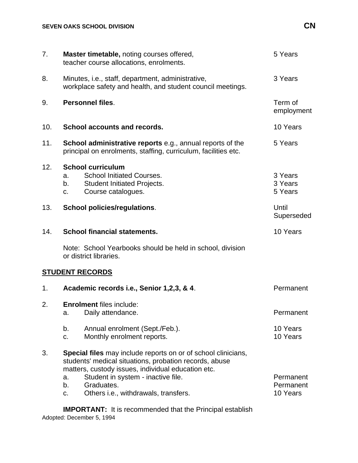| 7.  | Master timetable, noting courses offered,<br>teacher course allocations, enrolments.                                                                                                                                                                                                               | 5 Years                            |
|-----|----------------------------------------------------------------------------------------------------------------------------------------------------------------------------------------------------------------------------------------------------------------------------------------------------|------------------------------------|
| 8.  | Minutes, i.e., staff, department, administrative,<br>workplace safety and health, and student council meetings.                                                                                                                                                                                    | 3 Years                            |
| 9.  | <b>Personnel files.</b>                                                                                                                                                                                                                                                                            | Term of<br>employment              |
| 10. | School accounts and records.                                                                                                                                                                                                                                                                       | 10 Years                           |
| 11. | <b>School administrative reports e.g., annual reports of the</b><br>principal on enrolments, staffing, curriculum, facilities etc.                                                                                                                                                                 | 5 Years                            |
| 12. | <b>School curriculum</b><br><b>School Initiated Courses.</b><br>a.<br><b>Student Initiated Projects.</b><br>b.<br>Course catalogues.<br>C.                                                                                                                                                         | 3 Years<br>3 Years<br>5 Years      |
| 13. | <b>School policies/regulations.</b>                                                                                                                                                                                                                                                                | Until<br>Superseded                |
| 14. | <b>School financial statements.</b>                                                                                                                                                                                                                                                                | 10 Years                           |
|     | Note: School Yearbooks should be held in school, division<br>or district libraries.                                                                                                                                                                                                                |                                    |
|     | <b>STUDENT RECORDS</b>                                                                                                                                                                                                                                                                             |                                    |
| 1.  | Academic records i.e., Senior 1,2,3, & 4.                                                                                                                                                                                                                                                          | Permanent                          |
| 2.  | <b>Enrolment files include:</b><br>Daily attendance.<br>a.                                                                                                                                                                                                                                         | Permanent                          |
|     | Annual enrolment (Sept./Feb.).<br>b.<br>Monthly enrolment reports.<br>c.                                                                                                                                                                                                                           | 10 Years<br>10 Years               |
| 3.  | <b>Special files</b> may include reports on or of school clinicians,<br>students' medical situations, probation records, abuse<br>matters, custody issues, individual education etc.<br>Student in system - inactive file.<br>a.<br>Graduates.<br>b.<br>Others i.e., withdrawals, transfers.<br>C. | Permanent<br>Permanent<br>10 Years |

Adopted: December 5, 1994 **IMPORTANT:** It is recommended that the Principal establish